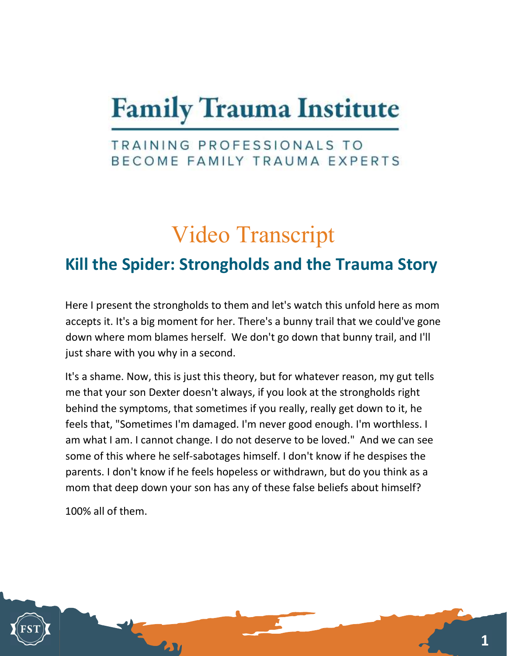## **Family Trauma Institute**

## TRAINING PROFESSIONALS TO BECOME FAMILY TRAUMA EXPERTS

## Video Transcript

## Kill the Spider: Strongholds and the Trauma Story

Here I present the strongholds to them and let's watch this unfold here as mom accepts it. It's a big moment for her. There's a bunny trail that we could've gone down where mom blames herself. We don't go down that bunny trail, and I'll just share with you why in a second.

It's a shame. Now, this is just this theory, but for whatever reason, my gut tells me that your son Dexter doesn't always, if you look at the strongholds right behind the symptoms, that sometimes if you really, really get down to it, he feels that, "Sometimes I'm damaged. I'm never good enough. I'm worthless. I am what I am. I cannot change. I do not deserve to be loved." And we can see some of this where he self-sabotages himself. I don't know if he despises the parents. I don't know if he feels hopeless or withdrawn, but do you think as a mom that deep down your son has any of these false beliefs about himself?

100% all of them.

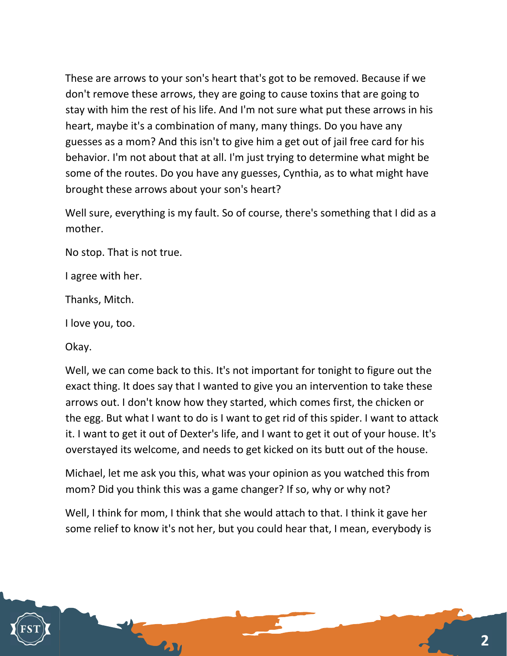These are arrows to your son's heart that's got to be removed. Because if we don't remove these arrows, they are going to cause toxins that are going to stay with him the rest of his life. And I'm not sure what put these arrows in his heart, maybe it's a combination of many, many things. Do you have any guesses as a mom? And this isn't to give him a get out of jail free card for his behavior. I'm not about that at all. I'm just trying to determine what might be some of the routes. Do you have any guesses, Cynthia, as to what might have brought these arrows about your son's heart?

Well sure, everything is my fault. So of course, there's something that I did as a mother.

No stop. That is not true.

I agree with her.

Thanks, Mitch.

I love you, too.

Okay.

Well, we can come back to this. It's not important for tonight to figure out the exact thing. It does say that I wanted to give you an intervention to take these arrows out. I don't know how they started, which comes first, the chicken or the egg. But what I want to do is I want to get rid of this spider. I want to attack it. I want to get it out of Dexter's life, and I want to get it out of your house. It's overstayed its welcome, and needs to get kicked on its butt out of the house.

Michael, let me ask you this, what was your opinion as you watched this from mom? Did you think this was a game changer? If so, why or why not?

Well, I think for mom, I think that she would attach to that. I think it gave her some relief to know it's not her, but you could hear that, I mean, everybody is